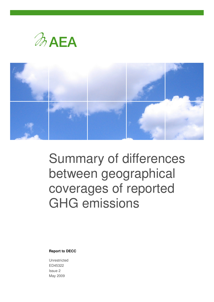



# Summary of differences between geographical coverages of reported GHG emissions

**Report to DECC**

Unrestricted ED45322 Issue 2 May 2009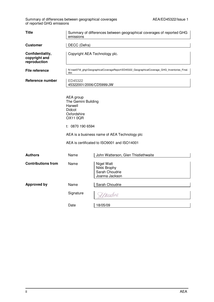Summary of differences between geographical coverages **AEA/ED45322/Issue 1** of reported GHG emissions

| <b>Title</b>                                      | Summary of differences between geographical coverages of reported GHG<br>emissions                                 |                                                                                             |  |  |  |  |
|---------------------------------------------------|--------------------------------------------------------------------------------------------------------------------|---------------------------------------------------------------------------------------------|--|--|--|--|
| <b>Customer</b>                                   | DECC (Defra)                                                                                                       |                                                                                             |  |  |  |  |
| Confidentiality,<br>copyright and<br>reproduction | Copyright AEA Technology plc.                                                                                      |                                                                                             |  |  |  |  |
| <b>File reference</b>                             | N:\naei07\8_ghgi\GeographicalCoverageReport\ED45322_GeographicalCoverage_GHG_Inventories_Final.<br>doc             |                                                                                             |  |  |  |  |
| <b>Reference number</b>                           | ED45322<br>45322001/2006/CD5999/JW                                                                                 |                                                                                             |  |  |  |  |
|                                                   | AEA group<br>The Gemini Building<br>Harwell<br><b>Didcot</b><br>Oxfordshire<br><b>OX11 0QR</b><br>t: 0870 190 6594 | AEA is a business name of AEA Technology plc<br>AEA is certificated to ISO9001 and ISO14001 |  |  |  |  |
| <b>Authors</b>                                    | Name                                                                                                               | John Watterson, Glen Thistlethwaite                                                         |  |  |  |  |
| <b>Contributions from</b>                         | Name                                                                                                               | Nigel Watt<br>Nikki Brophy<br>Sarah Choudrie<br>Joanna Jackson                              |  |  |  |  |
| <b>Approved by</b>                                | Name                                                                                                               | Sarah Choudrie                                                                              |  |  |  |  |
|                                                   | Signature                                                                                                          | Unordne                                                                                     |  |  |  |  |
|                                                   | Date                                                                                                               | 18/05/09                                                                                    |  |  |  |  |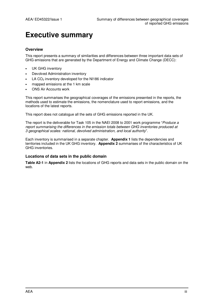## **Executive summary**

#### **Overview**

This report presents a summary of similarities and differences between three important data sets of GHG emissions that are generated by the Department of Energy and Climate Change (DECC):

- UK GHG inventory
- Devolved Administration inventory
- LA  $CO<sub>2</sub>$  inventory developed for the NI186 indicator
- mapped emissions at the 1 km scale
- ONS Air Accounts work

This report summarises the geographical coverages of the emissions presented in the reports, the methods used to estimate the emissions, the nomenclature used to report emissions, and the locations of the latest reports.

This report does not catalogue all the sets of GHG emissions reported in the UK.

The report is the deliverable for Task 105 in the NAEI 2008 to 2001 work programme "Produce a report summarising the differences in the emission totals between GHG inventories produced at 3 geographical scales: national, devolved administration, and local authority".

Each inventory is summarised in a separate chapter. **Appendix 1** lists the dependencies and territories included in the UK GHG inventory. **Appendix 2** summarises of the characteristics of UK GHG inventories.

#### **Locations of data sets in the public domain**

**Table A2-1** in **Appendix 2** lists the locations of GHG reports and data sets in the public domain on the web.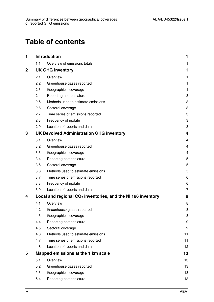## **Table of contents**

| 1           |     | <b>Introduction</b>                                            | 1  |
|-------------|-----|----------------------------------------------------------------|----|
|             | 1.1 | Overview of emissions totals                                   | 1  |
| $\mathbf 2$ |     | <b>UK GHG inventory</b>                                        | 1  |
|             | 2.1 | Overview                                                       | 1  |
|             | 2.2 | Greenhouse gases reported                                      | 1  |
|             | 2.3 | Geographical coverage                                          | 1  |
|             | 2.4 | Reporting nomenclature                                         | 3  |
|             | 2.5 | Methods used to estimate emissions                             | 3  |
|             | 2.6 | Sectoral coverage                                              | 3  |
|             | 2.7 | Time series of emissions reported                              | 3  |
|             | 2.8 | Frequency of update                                            | 3  |
|             | 2.9 | Location of reports and data                                   | 3  |
| 3           |     | <b>UK Devolved Administration GHG inventory</b>                | 4  |
|             | 3.1 | Overview                                                       | 4  |
|             | 3.2 | Greenhouse gases reported                                      | 4  |
|             | 3.3 | Geographical coverage                                          | 4  |
|             | 3.4 | Reporting nomenclature                                         | 5  |
|             | 3.5 | Sectoral coverage                                              | 5  |
|             | 3.6 | Methods used to estimate emissions                             | 5  |
|             | 3.7 | Time series of emissions reported                              | 6  |
|             | 3.8 | Frequency of update                                            | 6  |
|             | 3.9 | Location of reports and data                                   | 7  |
| 4           |     | Local and regional $CO2$ inventories, and the NI 186 inventory | 8  |
|             | 4.1 | Overview                                                       | 8  |
|             | 4.2 | Greenhouse gases reported                                      | 8  |
|             | 4.3 | Geographical coverage                                          | 8  |
|             | 4.4 | Reporting nomenclature                                         | 9  |
|             | 4.5 | Sectoral coverage                                              | 9  |
|             | 4.6 | Methods used to estimate emissions                             | 11 |
|             | 4.7 | Time series of emissions reported                              | 11 |
|             | 4.8 | Location of reports and data                                   | 12 |
| 5           |     | Mapped emissions at the 1 km scale                             | 13 |
|             | 5.1 | Overview                                                       | 13 |
|             | 5.2 | Greenhouse gases reported                                      | 13 |
|             | 5.3 | Geographical coverage                                          | 13 |
|             | 5.4 | Reporting nomenclature                                         | 13 |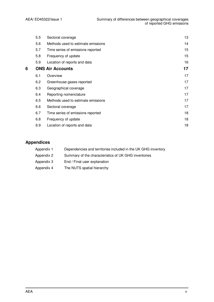|   | 5.5 | Sectoral coverage                  | 13 |
|---|-----|------------------------------------|----|
|   | 5.6 | Methods used to estimate emissions | 14 |
|   | 5.7 | Time series of emissions reported  | 15 |
|   | 5.8 | Frequency of update                | 15 |
|   | 5.9 | Location of reports and data       | 16 |
| 6 |     | <b>ONS Air Accounts</b>            | 17 |
|   | 6.1 | Overview                           | 17 |
|   | 6.2 | Greenhouse gases reported          | 17 |
|   | 6.3 | Geographical coverage              | 17 |
|   | 6.4 | Reporting nomenclature             | 17 |
|   | 6.5 | Methods used to estimate emissions | 17 |
|   | 6.6 | Sectoral coverage                  | 17 |
|   | 6.7 | Time series of emissions reported  | 18 |
|   | 6.8 | Frequency of update                | 18 |
|   | 6.9 | Location of reports and data       | 18 |
|   |     |                                    |    |

#### **Appendices**

| Appendix 1 |  |   | Dependencies and territories included in the UK GHG inventory |  |
|------------|--|---|---------------------------------------------------------------|--|
|            |  | . |                                                               |  |

- Appendix 2 Summary of the characteristics of UK GHG inventories
- Appendix 3 End / Final user explanation
- Appendix 4 The NUTS spatial hierarchy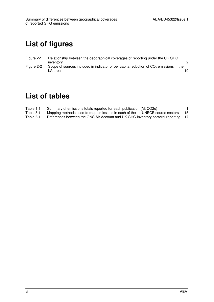## **List of figures**

- Figure 2-1 Relationship between the geographical coverages of reporting under the UK GHG inventory 2
- Figure 2-2 Scope of sources included in indicator of per capita reduction of  $CO<sub>2</sub>$  emissions in the<br>10 LA area 10

## **List of tables**

- Table 1.1 Summary of emissions totals reported for each publication (Mt CO2e) 1<br>Table 5.1 Mapping methods used to map emissions in each of the 11 UNECE source sectors 15
- Table 5.1 Mapping methods used to map emissions in each of the 11 UNECE source sectors 15<br>Table 6.1 Differences between the ONS Air Account and UK GHG inventory sectoral reporting 17
- Differences between the ONS Air Account and UK GHG inventory sectoral reporting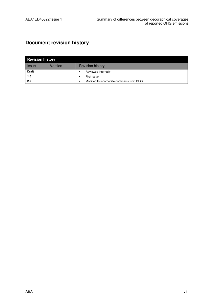### **Document revision history**

| <b>Revision history</b> |         |                                            |  |  |  |
|-------------------------|---------|--------------------------------------------|--|--|--|
| <b>Issue</b>            | Version | <b>Revision history</b>                    |  |  |  |
| <b>Draft</b>            |         | Reviewed internally                        |  |  |  |
| 1.0                     |         | First issue                                |  |  |  |
| 2.0                     |         | Modified to incorporate comments from DECC |  |  |  |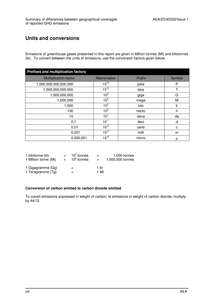### **Units and conversions**

Emissions of greenhouse gases presented in this report are given in Million tonnes (Mt) and kilotonnes (kt). To convert between the units of emissions, use the conversion factors given below.

| <b>Prefixes and multiplication factors</b> |                 |        |        |
|--------------------------------------------|-----------------|--------|--------|
| <b>Multiplication factor</b>               | Abbreviation    | Prefix | Symbol |
| 1,000,000,000,000,000                      | $10^{15}$       | peta   | P      |
| 1,000,000,000,000                          | $10^{12}$       | tera   |        |
| 1,000,000,000                              | 10 <sup>9</sup> | giga   | G      |
| 1,000,000                                  | 10 <sup>6</sup> | mega   | M      |
| 1,000                                      | 10 <sup>3</sup> | kilo   | k      |
| 100                                        | 10 <sup>2</sup> | hecto  | h      |
| 10                                         | 10 <sup>1</sup> | deca   | da     |
| 0.1                                        | $10^{-1}$       | deci   | d      |
| 0.01                                       | $10^{-2}$       | centi  | C      |
| 0.001                                      | $10^{-3}$       | milli  | m      |
| 0.000,001                                  | $10^{-6}$       | micro  | μ      |

| 1 kilotonne (kt)                       | $=$                       | $103$ tonnes  | $=$          | 1,000 tonnes     |
|----------------------------------------|---------------------------|---------------|--------------|------------------|
| 1 Million tonne (Mt)                   | $\mathbf{r} = \mathbf{r}$ | $10^6$ tonnes | $=$          | 1,000,000 tonnes |
| 1 Gigagramme (Gg)<br>1 Teragramme (Tg) |                           | $=$<br>$=$    | 1 kt<br>1 Mt |                  |

#### **Conversion of carbon emitted to carbon dioxide emitted**

To covert emissions expressed in weight of carbon, to emissions in weight of carbon dioxide, multiply by 44/12.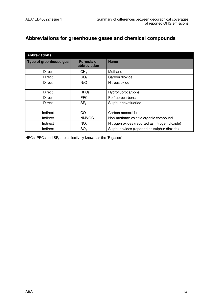### **Abbreviations for greenhouse gases and chemical compounds**

| <b>Abbreviations</b>   |                            |                                                |
|------------------------|----------------------------|------------------------------------------------|
| Type of greenhouse gas | Formula or<br>abbreviation | <b>Name</b>                                    |
| Direct                 | CH <sub>4</sub>            | Methane                                        |
| Direct                 | CO <sub>2</sub>            | Carbon dioxide                                 |
| Direct                 | N <sub>2</sub> O           | Nitrous oxide                                  |
|                        |                            |                                                |
| Direct                 | <b>HFCs</b>                | Hydrofluorocarbons                             |
| Direct                 | <b>PFCs</b>                | Perfluorocarbons                               |
| Direct                 | SF <sub>6</sub>            | Sulphur hexafluoride                           |
|                        |                            |                                                |
| Indirect               | CO                         | Carbon monoxide                                |
| Indirect               | <b>NMVOC</b>               | Non-methane volatile organic compound          |
| Indirect               | NO <sub>X</sub>            | Nitrogen oxides (reported as nitrogen dioxide) |
| Indirect               | SO <sub>2</sub>            | Sulphur oxides (reported as sulphur dioxide)   |

HFCs, PFCs and  $SF_6$  are collectively known as the 'F-gases'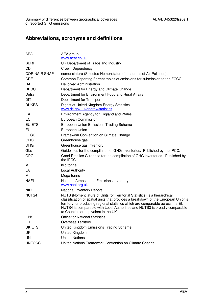### **Abbreviations, acronyms and definitions**

| <b>AEA</b>           | AEA group<br>www.aeat.co.uk                                                                                                                                                                                                                                                                                                                                             |
|----------------------|-------------------------------------------------------------------------------------------------------------------------------------------------------------------------------------------------------------------------------------------------------------------------------------------------------------------------------------------------------------------------|
| <b>BERR</b>          | UK Department of Trade and Industry                                                                                                                                                                                                                                                                                                                                     |
| CD                   | Crown Dependency                                                                                                                                                                                                                                                                                                                                                        |
| <b>CORINAIR SNAP</b> | nomenclature (Selected Nomenclature for sources of Air Pollution).                                                                                                                                                                                                                                                                                                      |
| <b>CRF</b>           | Common Reporting Format tables of emissions for submission to the FCCC                                                                                                                                                                                                                                                                                                  |
| DA.                  | Devolved Administration                                                                                                                                                                                                                                                                                                                                                 |
| <b>DECC</b>          | Department for Energy and Climate Change                                                                                                                                                                                                                                                                                                                                |
| Defra                | Department for Environment Food and Rural Affairs                                                                                                                                                                                                                                                                                                                       |
| DfT                  | Department for Transport                                                                                                                                                                                                                                                                                                                                                |
| <b>DUKES</b>         | Digest of United Kingdom Energy Statistics<br>www.dti.gov.uk/energy/statistics                                                                                                                                                                                                                                                                                          |
| EA                   | Environment Agency for England and Wales                                                                                                                                                                                                                                                                                                                                |
| EC                   | European Commission                                                                                                                                                                                                                                                                                                                                                     |
| EU ETS               | European Union Emissions Trading Scheme                                                                                                                                                                                                                                                                                                                                 |
| EU                   | European Union                                                                                                                                                                                                                                                                                                                                                          |
| <b>FCCC</b>          | Framework Convention on Climate Change                                                                                                                                                                                                                                                                                                                                  |
| <b>GHG</b>           | Greenhouse gas                                                                                                                                                                                                                                                                                                                                                          |
| <b>GHGI</b>          | Greenhouse gas inventory                                                                                                                                                                                                                                                                                                                                                |
| GLs                  | Guidelines for the compilation of GHG inventories. Published by the IPCC.                                                                                                                                                                                                                                                                                               |
| <b>GPG</b>           | Good Practice Guidance for the compilation of GHG inventories. Published by<br>the IPCC.                                                                                                                                                                                                                                                                                |
| kt                   | kilo tonne                                                                                                                                                                                                                                                                                                                                                              |
| LA                   | <b>Local Authority</b>                                                                                                                                                                                                                                                                                                                                                  |
| Mt                   | Mega tonne                                                                                                                                                                                                                                                                                                                                                              |
| <b>NAEI</b>          | National Atmospheric Emissions Inventory<br>www.naei.org.uk                                                                                                                                                                                                                                                                                                             |
| <b>NIR</b>           | National Inventory Report                                                                                                                                                                                                                                                                                                                                               |
| NUTS4                | NUTS (Nomenclature of Units for Territorial Statistics) is a hierarchical<br>classification of spatial units that provides a breakdown of the European Union's<br>territory for producing regional statistics which are comparable across the EU.<br>NUTS4 is comparable with Local Authorities and NUTS3 is broadly comparable<br>to Counties or equivalent in the UK. |
| <b>ONS</b>           | <b>Office for National Statistics</b>                                                                                                                                                                                                                                                                                                                                   |
| OT                   | <b>Overseas Territory</b>                                                                                                                                                                                                                                                                                                                                               |
| UK ETS               | United Kingdom Emissions Trading Scheme                                                                                                                                                                                                                                                                                                                                 |
| UK                   | United Kingdom                                                                                                                                                                                                                                                                                                                                                          |
| UN                   | <b>United Nations</b>                                                                                                                                                                                                                                                                                                                                                   |
| <b>UNFCCC</b>        | United Nations Framework Convention on Climate Change                                                                                                                                                                                                                                                                                                                   |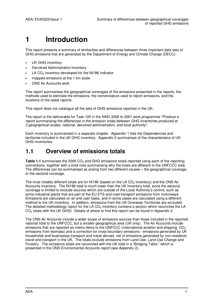## **1 Introduction**

This report presents a summary of similarities and differences between three important data sets of GHG emissions that are generated by the Department of Energy and Climate Change (DECC):

- UK GHG inventory
- Devolved Administration inventory
- LA  $CO<sub>2</sub>$  inventory developed for the NI186 indicator
- mapped emissions at the 1 km scale
- ONS Air Accounts work

This report summarises the geographical coverages of the emissions presented in the reports, the methods used to estimate the emissions, the nomenclature used to report emissions, and the locations of the latest reports.

This report does not catalogue all the sets of GHG emissions reported in the UK.

The report is the deliverable for Task 105 in the NAEI 2008 to 2001 work programme "Produce a report summarising the differences in the emission totals between GHG inventories produced at 3 geographical scales: national, devolved administration, and local authority".

Each inventory is summarised in a separate chapter. Appendix 1 lists the Dependencies and territories included in the UK GHG inventory. Appendix 2 summarises of the characteristics of UK GHG inventories.

### **1.1 Overview of emissions totals**

**Table 1.1** summarises the 2006 CO<sub>2</sub> and GHG emissions totals reported using each of the reporting conventions, together with a brief note summarising why the totals are different to the UNFCCC total. The differences can be summarised as arising from two different causes – the geographical coverage, or the sectoral coverage.

The most notably different totals are for NI186 (based on the LA  $CO<sub>2</sub>$  Inventory) and the ONS Air Accounts inventory. The NI186 total is much lower than the UK Inventory total, since the sectoral coverage is limited to exclude sources which are outside of the Local Authority's control, such as some industrial plants that are part of the EU ETS and road transport emissions from motorways. Emissions are calculated on an end user basis, and in some cases are calculated using a different method to the UK inventory. In addition, emissions from the UK Overseas Territories are excluded. The detailed methodology report for the LA  $CO<sub>2</sub>$  inventory contains a section which reconciles the LA CO<sub>2</sub> totals with the UK GHGI. Details of where to find this report can be found in Appendix 2.

The ONS Air Accounts include a wider scope of emissions sources than those included in the reported national total to the UNFCCC, but a smaller geographical area (UK only). The Air Accounts include emissions that are reported as memo items to the UNFCCC (international aviation and shipping,  $CO<sub>2</sub>$ emissions from biomass) and a correction for cross boundary emissions - emissions generated by UK households and businesses transport and travel abroad, net of emissions generated by non-residents travel and transport in the UK. The totals exclude emissions from Land Use, Land Use Change and Forestry. The emissions totals are reconciled with the UK total in a "Bridging Table," which is presented in the ONS Environmental Accounts report (see Appendix 2).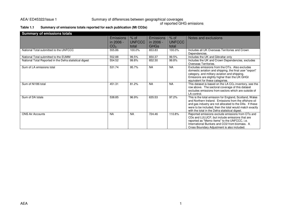## AEA/ ED45322/Issue 1 Summary of differences between geographical coverages of reported GHG emissions

#### **Table 1.1 Summary of emissions totals reported for each publication (Mt CO2e)**

| <b>Summary of emissions totals</b>                      |                                                  |                                  |                                              |                                  |                                                                                                                                                                                                                                                                                           |
|---------------------------------------------------------|--------------------------------------------------|----------------------------------|----------------------------------------------|----------------------------------|-------------------------------------------------------------------------------------------------------------------------------------------------------------------------------------------------------------------------------------------------------------------------------------------|
|                                                         | <b>Emissions</b><br>in 2006 -<br>CO <sub>2</sub> | $%$ of<br><b>UNFCCC</b><br>total | <b>Emissions</b><br>in 2006 -<br><b>GHGs</b> | $%$ of<br><b>UNFCCC</b><br>total | Notes and exclusions                                                                                                                                                                                                                                                                      |
| National Total submitted to the UNFCCC                  | 555.86                                           | 100.0%                           | 653.83                                       | 100.0%                           | Includes all UK Overseas Territories and Crown<br>Dependencies.                                                                                                                                                                                                                           |
| National Total submitted to the EUMM                    | 552.88                                           | 99.5%                            | 650.37                                       | 99.5%                            | Includes the UK and Gibraltar only                                                                                                                                                                                                                                                        |
| National Total Reported in the Defra statistical digest | 554.52                                           | 99.8%                            | 652.30                                       | 99.8%                            | Includes the UK and Crown Dependencies, excludes<br>Overseas Territories.                                                                                                                                                                                                                 |
| Sum of LA emissions total                               | 531.74                                           | 95.7%                            | <b>NA</b>                                    | <b>NA</b>                        | Excludes emissions from the OTs. Also excludes<br>domestic aviation and shipping, the final user "export"<br>category, and military aviation and shipping.<br>Emissions are slightly higher than the UK GHGI<br>equivalent for these categories.                                          |
| Sum of NI186 total                                      | 451.31                                           | 81.2%                            | <b>NA</b>                                    | <b>NA</b>                        | This dataset is based on the LA CO <sub>2</sub> inventory, see the<br>row above. The sectoral coverage of this dataset<br>excludes emissions from sectors which are outside of<br>LA control.                                                                                             |
| Sum of DA totals                                        | 538.85                                           | 96.9%                            | 635.53                                       | 97.2%                            | This is the total emission for England, Scotland, Wales<br>and Northern Ireland. Emissions from the offshore oil<br>and gas industry are not allocated to the DAs. If these<br>were to be included, then the total would match exactly<br>with the total in the Defra statistical digest. |
| <b>ONS Air Accounts</b>                                 | <b>NA</b>                                        | <b>NA</b>                        | 724.46                                       | 110.8%                           | Reported emissions exclude emissions from OTs and<br>CDs and LULUCF, but include emissions that are<br>reported as "Memo Items" to the UNFCCC, i.e.<br>International Bunkers and CO2 from biomass. A<br>Cross Boundary Adjustment is also included.                                       |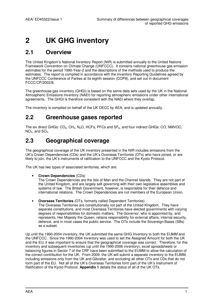## **2 UK GHG inventory**

### **2.1 Overview**

The United Kingdom's National Inventory Report (NIR) is submitted annually to the United Nations Framework Convention on Climate Change (UNFCCC). It contains national greenhouse gas emission estimates for the period 1990-Year-2 and the descriptions of the methods used to produce the estimates. The report is compiled in accordance with the Inventory Reporting Guidelines agreed by the UNFCCC Conference of Parties at its eighth session (COP8), and set out in document FCCC/CP/2002/8.

The greenhouse gas inventory (GHGI) is based on the same data sets used by the UK in the National Atmospheric Emissions Inventory (NAEI) for reporting atmospheric emissions under other international agreements. The GHGI is therefore consistent with the NAEI where they overlap.

The inventory is compiled on behalf of the UK DECC by AEA, and is updated annually.

### **2.2 Greenhouse gases reported**

The six direct GHGs: CO<sub>2</sub>, CH<sub>4</sub>, N<sub>2</sub>O, HCFs, PFCs and SF<sub>6</sub>, and four indirect GHGs: CO, NMVOC,  $NO<sub>X</sub>$ , and  $SO<sub>2</sub>$ .

### **2.3 Geographical coverage**

The geographical coverage of the UK inventory presented in the NIR includes emissions from the UK's Crown Dependencies (CDs) and the UK's Overseas Territories (OTs) who have joined, or are likely to join, the UK's instruments of ratification to the UNFCCC and the Kyoto Protocol.

The UK has two types of associated territories, which are:

#### • **Crown Dependencies** (CDs)

The Crown Dependencies are the Isle of Man and the Channel Islands. They are not part of the United Kingdom, and are largely self-governing with their own legislative assemblies and systems of law. The British Government, however, is responsible for their defence and international relations. The Crown Dependencies are not members of the European Union.

• **Overseas Territories** (OTs, formerly called Dependent Territories)

The Overseas Territories are constitutionally not part of the United Kingdom. They have separate constitutions, and most Overseas Territories have elected governments with varying degrees of responsibilities for domestic matters. The Governor, who is appointed by, and represents, Her Majesty the Queen, retains responsibility for external affairs, internal security, defence, and in most cases the public service. The OTs include the Sovereign Bases (SBs) as a subset.

Up until the 1990-2004 inventory, the UK submitted the same GHG Inventory to both the EUMM and the UNFCCC. Since the 1990-2004 Inventory was used to set the Assigned Amount for both the UK and the EU, it was important to ensure that the geographical coverage was correct. Therefore, for this inventory and subsequent inventories (up until the 1990-2006 inventory), excel spreadsheets or balancing figures in Sector 7 of the CRF have been submitted to the EUMM to allow the calculation of the correct contribution for the UK. From 2009, the UK will submit a separate inventory to the EUMM, including emissions only from the UK and Gibraltar, and excluding all other OTs and CDs that do not form part of the EU. Not all of the UK's Overseas Territories form part of the UK's Instrument of Ratification of the Kyoto Protocol, **Appendix 1** details the status of all of the UK OTs.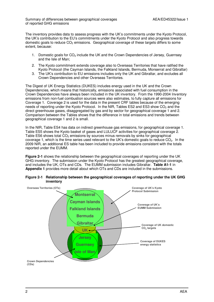The inventory provides data to assess progress with the UK's commitments under the Kyoto Protocol, the UK's contribution to the EU's commitments under the Kyoto Protocol and also progress towards domestic goals to reduce  $CO<sub>2</sub>$  emissions. Geographical coverage of these targets differs to some extent, because:

- 1. Domestic goals for CO<sub>2</sub> include the UK and the Crown Dependencies of Jersey, Guernsey and the Isle of Man;
- 2. The Kyoto commitment extends coverage also to Overseas Territories that have ratified the Kyoto Protocol (the Cayman Islands, the Falkland Islands, Bermuda, Monserrat and Gibraltar)
- 3. The UK's contribution to EU emissions includes only the UK and Gibraltar, and excludes all Crown Dependencies and other Overseas Territories.

The Digest of UK Energy Statistics (DUKES) includes energy used in the UK and the Crown Dependencies, which means that historically, emissions associated with fuel consumption in the Crown Dependencies have always been included in the UK inventory. From the 1990-2004 Inventory emissions from non-fuel combustion sources were also estimates, to fully capture all emissions for Coverage 1. Coverage 2 is used for the data in the present CRF tables because of the emerging needs of reporting under the Kyoto Protocol. In the NIR, Tables ES2 and ES3 show  $CO<sub>2</sub>$  and the direct greenhouse gases, disaggregated by gas and by sector for geographical coverage 1 and 2. Comparison between the Tables shows that the difference in total emissions and trends between geographical coverage 1 and 2 is small.

In the NIR, Table ES4 has data on indirect greenhouse gas emissions, for geographical coverage 1. Table ES5 shows the Kyoto basket of gases and LULUCF activities for geographical coverage 2. Table ES6 shows total  $CO<sub>2</sub>$  emissions by sources minus removals by sinks for geographical coverage 1, which is the time series used relevant to the UK's domestic goals to reduce  $CO<sub>2</sub>$ . In the 2009 NIR, an additional ES table has been included to provide emissions consistent with the totals reported under the EUMM.

**Figure 2-1** shows the relationship between the geographical coverages of reporting under the UK GHG inventory. The submission under the Kyoto Protocol has the greatest geographical coverage, and includes the UK, OTs and CDs. The EUMM submission includes Gibraltar. **Table A1-1** in **Appendix 1** provides more detail about which OTs and CDs are included in the submissions.



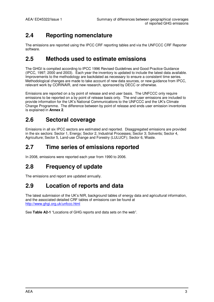### **2.4 Reporting nomenclature**

The emissions are reported using the IPCC CRF reporting tables and via the UNFCCC CRF Reporter software.

### **2.5 Methods used to estimate emissions**

The GHGI is compiled according to IPCC 1996 Revised Guidelines and Good Practice Guidance (IPCC, 1997; 2000 and 2003). Each year the inventory is updated to include the latest data available. Improvements to the methodology are backdated as necessary to ensure a consistent time series. Methodological changes are made to take account of new data sources, or new guidance from IPCC, relevant work by CORINAIR, and new research, sponsored by DECC or otherwise.

Emissions are reported on a by point of release and end user basis. The UNFCCC only require emissions to be reported on a by point of release basis only. The end user emissions are included to provide information for the UK's National Communications to the UNFCCC and the UK's Climate Change Programme. The difference between by point of release and ends user emission inventories is explained in **Annex 2**.

### **2.6 Sectoral coverage**

Emissions in all six IPCC sectors are estimated and reported. Disaggregated emissions are provided in the six sectors: Sector 1, Energy; Sector 2, Industrial Processes; Sector 3; Solvents; Sector 4, Agriculture; Sector 5, Land-use Change and Forestry (LULUCF); Sector 6, Waste.

### **2.7 Time series of emissions reported**

In 2008, emissions were reported each year from 1990 to 2006.

## **2.8 Frequency of update**

The emissions and report are updated annually.

### **2.9 Location of reports and data**

The latest submission of the UK's NIR, background tables of energy data and agricultural information, and the associated detailed CRF tables of emissions can be found at http://www.ghgi.org.uk/unfccc.html

See **Table A2-1** "Locations of GHG reports and data sets on the web".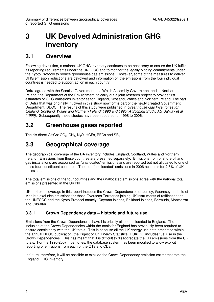## **3 UK Devolved Administration GHG inventory**

### **3.1 Overview**

Following devolution, a national UK GHG inventory continues to be necessary to ensure the UK fulfils its reporting requirements under the UNFCCC and to monitor the legally binding commitments under the Kyoto Protocol to reduce greenhouse gas emissions. However, some of the measures to deliver GHG emission reductions are devolved and information on the emissions from the four individual countries is needed to support action in each country.

Defra agreed with the Scottish Government, the Welsh Assembly Government and in Northern Ireland, the Department of the Environment, to carry out a joint research project to provide first estimates of GHG emissions inventories for England, Scotland, Wales and Northern Ireland. The part of Defra that was originally involved in this study now forms part of the newly created Government Department, DECC. The results of this study were published in Greenhouse Gas Inventories for England, Scotland, Wales and Northern Ireland: 1990 and 1995: A Scoping Study, AG Salway et al (1999). Subsequently these studies have been updated for 1998 to 2006.

### **3.2 Greenhouse gases reported**

The six direct GHGs:  $CO<sub>2</sub>$ , CH<sub>4</sub>, N<sub>2</sub>O, HCFs, PFCs and SF<sub>6</sub>.

### **3.3 Geographical coverage**

The geographical coverage of the DA inventory includes England, Scotland, Wales and Northern Ireland. Emissions from these countries are presented separately. Emissions from offshore oil and gas installations are accounted as "unallocated" emissions and are reported but not allocated to one of these four constituent countries. The total "unallocated" emissions in 2006 accounts for 2.6% of UK emissions.

The total emissions of the four countries and the unallocated emissions agree with the national total emissions presented in the UK NIR.

UK territorial coverage in this report includes the Crown Dependencies of Jersey, Guernsey and Isle of Man but excludes emissions for those Overseas Territories joining UK instruments of ratification for the UNFCCC and the Kyoto Protocol namely: Cayman Islands, Falkland Islands, Bermuda, Montserrat and Gibraltar.

#### **3.3.1 Crown Dependency data – historic and future use**

Emissions from the Crown Dependencies have historically all been allocated to England. The inclusion of the Crown Dependencies within the totals for England has previously been required to ensure consistency with the UK totals. This is because all the UK energy use data presented within the annual DECC publication, the Digest of UK Energy Statistics (DUKES), includes fuel use in the Crown Dependencies. This has meant that it is difficult to disaggregate the CD emissions from the UK totals. For the 1990-2007 Inventories, the database system has been modified to allow explicit reporting of emissions from each of the OTs and CDs.

In future, therefore, it will be possible to exclude the Crown Dependency emission estimates from the England GHG inventory.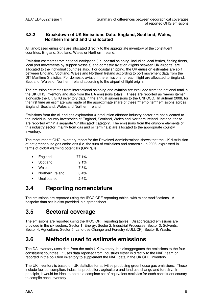#### **3.3.2 Breakdown of UK Emissions Data: England, Scotland, Wales, Northern Ireland and Unallocated**

All land-based emissions are allocated directly to the appropriate inventory of the constituent countries: England, Scotland, Wales or Northern Ireland.

Emission estimates from national navigation (i.e. coastal shipping, including local ferries, fishing fleets, local port movements by support vessels) and domestic aviation (flights between UK airports) are allocated to the individual countries also. For coastal shipping, the UK emission estimates are split between England, Scotland, Wales and Northern Ireland according to port movement data from the DfT Maritime Statistics. For domestic aviation, the emissions for each flight are allocated to England, Scotland, Wales or Northern Ireland according to the airport of flight origin.

The emission estimates from international shipping and aviation are excluded from the national total in the UK GHG inventory and also from the DA emissions totals.. These are reported as "memo items" alongside the UK GHG inventory data in the annual submissions to the UNFCCC. In autumn 2008, for the first time an estimate was made of the approximate share of these "memo item" emissions across England, Scotland, Wales and Northern Ireland.

Emissions from the oil and gas exploration & production offshore industry sector are not allocated to the individual country inventories of England, Scotland, Wales and Northern Ireland. Instead, these are reported within a separate "unallocated" category. The emissions from the onshore elements of this industry sector (mainly from gas and oil terminals) are allocated to the appropriate country inventory.

The most recent GHG Inventory report for the Devolved Administrations shows that the UK distribution of net greenhouse gas emissions (i.e. the sum of emissions and removals) in 2006, expressed in terms of global warming potentials (GWP), is:

| England | 77.1% |
|---------|-------|
|---------|-------|

- Scotland 9.1%
- Wales 7.8%
- Northern Ireland 3.4%
- Unallocated 2.6%

### **3.4 Reporting nomenclature**

The emissions are reported using the IPCC CRF reporting tables, with minor modifications. A bespoke data set is also provided in a spreadsheet.

### **3.5 Sectoral coverage**

The emissions are reported using the IPCC CRF reporting tables. Disaggregated emissions are provided in the six sectors: Sector 1, Energy; Sector 2, Industrial Processes; Sector 3; Solvents; Sector 4, Agriculture; Sector 5, Land-use Change and Forestry (LULUCF); Sector 6, Waste.

### **3.6 Methods used to estimate emissions**

The DA inventory uses data from the main UK inventory, but disaggregates the emissions to the four constituent countries. It uses data reported from industries either in directly to the NAEI team or reported in the pollution inventory to supplement the NAEI data in the UK GHG inventory.

The UK inventory is based on UK statistics for activities producing greenhouse gas emissions. These include fuel consumption, industrial production, agriculture and land use change and forestry. In principle, it would be ideal to obtain a complete set of equivalent statistics for each constituent country to compile each inventory.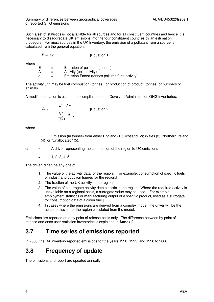Such a set of statistics is not available for all sources and for all constituent countries and hence it is necessary to disaggregate UK emissions into the four constituent countries by an estimation procedure. For most sources in the UK Inventory, the emission of a pollutant from a source is calculated from the general equation:

 $E = Ae$  [Equation 1]

where

|   | $=$ | Emission of pollutant (tonnes)                   |
|---|-----|--------------------------------------------------|
|   | $=$ | Activity (unit activity)                         |
| e | $=$ | Emission Factor (tonnes pollutant/unit activity) |

The activity unit may be fuel combustion (tonnes), or production of product (tonnes) or numbers of animals.

A modified equation is used in the compilation of the Devolved Administration GHG inventories:

$$
E_{i} = \frac{d_{i} Ae}{\sum_{j=1}^{5} d_{j}}
$$
 [Equation 2]

where

Ei Emission (in tonnes) from either England (1); Scotland (2); Wales (3); Northern Ireland (4); or "Unallocated" (5).

 $d_i$  = A driver representing the contribution of the region to UK emissions

i  $=$  1, 2, 3, 4, 5

The driver, di can be any one of:

- 1. The value of the activity data for the region. [For example, consumption of specific fuels or industrial production figures for the region.]
- 2. The fraction of the UK activity in the region.
- 3. The value of a surrogate activity data statistic in the region. Where the required activity is unavailable on a regional basis, a surrogate value may be used. [For example, employment statistics or manufacturing output of a specific product, used as a surrogate for consumption data of a given fuel.
- 4. In cases where the emissions are derived from a complex model, the driver will be the actual emission for the region calculated from the model.

Emissions are reported on a by point of release basis only. The difference between by point of release and ends user emission inventories is explained in **Annex 2**.

### **3.7 Time series of emissions reported**

In 2008, the DA inventory reported emissions for the years 1990, 1995, and 1998 to 2006.

### **3.8 Frequency of update**

The emissions and report are updated annually.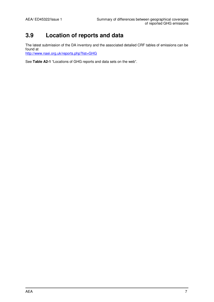### **3.9 Location of reports and data**

The latest submission of the DA inventory and the associated detailed CRF tables of emissions can be found at http://www.naei.org.uk/reports.php?list=GHG

See **Table A2-1** "Locations of GHG reports and data sets on the web".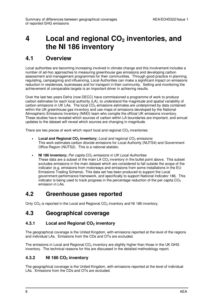## **4 Local and regional CO2 inventories, and the NI 186 inventory**

### **4.1 Overview**

Local authorities are becoming increasing involved in climate change and this involvement includes a number of ad-hoc approaches to measuring greenhouse gas emissions and developing carbon assessment and management programmes for their communities. Through good practice in planning, regulating, campaigning and influencing, Local Authorities can make a significant impact on emissions reduction in residences, businesses and for transport in their community. Setting and monitoring the achievement of comparable targets is an important driver in achieving results.

Over the last two years Defra (now DECC) have commissioned a programme of work to produce carbon estimates for each local authority (LA), to understand the magnitude and spatial variability of carbon emissions in UK LAs. The local  $CO<sub>2</sub>$  emissions estimates are underpinned by data contained within the UK greenhouse gas inventory and use maps of emissions developed by the National Atmospheric Emissions Inventory (NAEI) team who compile the official UK emissions inventory. These studies have revealed which sources of carbon within LA boundaries are important, and annual updates to the dataset will reveal which sources are changing in magnitude.

There are two pieces of work which report local and regional  $CO<sub>2</sub>$  inventories:

- Local and Regional CO<sub>2</sub> inventory; *Local and regional CO<sub>2</sub> emissions* This work estimates carbon dioxide emissions for Local Authority (NUTS4) and Government Office Region (NUTS2). This is a national statistic.
- **NI 186 inventory:** Per capita CO<sub>2</sub> emissions in UK Local Authorities These data are a subset of the main LA  $CO<sub>2</sub>$  inventory in the bullet point above. This subset excludes emissions in the main dataset which are considered to fall outside the scope of the indicator (e.g. emissions from motorways and emissions from some installations in the EU Emissions Trading Scheme). This data set has been produced to support the Local government performance framework, and specifically to support National Indicator 186. This indicator is being used to track progress in the percentage reduction of the per capita  $CO<sub>2</sub>$ emission in LAs.

### **4.2 Greenhouse gases reported**

Only  $CO<sub>2</sub>$  is reported in the Local and Regional  $CO<sub>2</sub>$  inventory and NI 186 inventory.

### **4.3 Geographical coverage**

### **4.3.1 Local and Regional CO2 inventory**

The geographical coverage is the United Kingdom, with emissions reported at the level of the regions and individual LAs. Emissions from the CDs and OTs are excluded.

The emissions in Local and Regional  $CO<sub>2</sub>$  inventory are slightly higher than those in the UK GHG inventory. The technical reasons for this are discussed in the detailed methodology report.

### **4.3.2 NI 186 CO2 inventory**

The geographical coverage is the United Kingdom, with emissions reported at the level of individual LAs. Emissions from the CDs and OTs are excluded.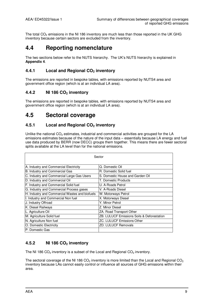The total  $CO<sub>2</sub>$  emissions in the NI 186 inventory are much less than those reported in the UK GHG inventory because certain sectors are excluded from the inventory.

### **4.4 Reporting nomenclature**

The two sections below refer to the NUTS hierarchy. The UK's NUTS hierarchy is explained in **Appendix 4**.

#### **4.4.1 Local and Regional CO2 inventory**

The emissions are reported in bespoke tables, with emissions reported by NUTS4 area and government office region (which is at an individual LA area).

#### **4.4.2 NI 186 CO2 inventory**

The emissions are reported in bespoke tables, with emissions reported by NUTS4 area and government office region (which is at an individual LA area).

### **4.5 Sectoral coverage**

#### **4.5.1 Local and Regional CO2 inventory**

Unlike the national  $CO<sub>2</sub>$  estimates, industrial and commercial activities are grouped for the LA emissions estimates because of the nature of the input data – essentially because LA energy and fuel use data produced by BERR (now DECC) groups them together. This means there are fewer sectoral splits available at the LA level than for the national emissions.

| Sector                                         |                                            |  |  |  |  |  |  |  |  |
|------------------------------------------------|--------------------------------------------|--|--|--|--|--|--|--|--|
| A. Industry and Commercial Electricity         | Q. Domestic Oil                            |  |  |  |  |  |  |  |  |
| B. Industry and Commercial Gas                 | R. Domestic Solid fuel                     |  |  |  |  |  |  |  |  |
| C. Industry and Commercial Large Gas Users     | S. Domestic House and Garden Oil           |  |  |  |  |  |  |  |  |
| D. Industry and Commercial Oil                 | T. Domestic Products                       |  |  |  |  |  |  |  |  |
| F. Industry and Commercial Solid fuel          | U. A-Roads Petrol                          |  |  |  |  |  |  |  |  |
| G. Industry and Commercial Process gases       | V. A-Roads Diesel                          |  |  |  |  |  |  |  |  |
| H. Industry and Commercial Wastes and biofuels | W. Motorways Petrol                        |  |  |  |  |  |  |  |  |
| I. Industry and Commercial Non fuel            | X. Motorways Diesel                        |  |  |  |  |  |  |  |  |
| J. Industry Offroad                            | Y. Minor Petrol                            |  |  |  |  |  |  |  |  |
| K. Diesel Railways                             | Z. Minor Diesel                            |  |  |  |  |  |  |  |  |
| L. Agriculture Oil                             | ZA. Road Transport Other                   |  |  |  |  |  |  |  |  |
| M. Agriculture Solid fuel                      | ZB. LULUCF Emissions Soils & Deforestation |  |  |  |  |  |  |  |  |
| N. Agriculture Non fuel                        | <b>ZC. LULUCF Emissions Other</b>          |  |  |  |  |  |  |  |  |
| O. Domestic Electricity                        | <b>ZD. LULUCF Removals</b>                 |  |  |  |  |  |  |  |  |
| IP. Domestic Gas                               |                                            |  |  |  |  |  |  |  |  |

### **4.5.2 NI 186 CO2 inventory**

The NI 186  $CO<sub>2</sub>$  inventory is a subset of the Local and Regional  $CO<sub>2</sub>$  inventory.

The sectoral coverage of the NI 186  $CO<sub>2</sub>$  inventory is more limited than the Local and Regional  $CO<sub>2</sub>$ inventory because LAs cannot easily control or influence all sources of GHG emissions within their area.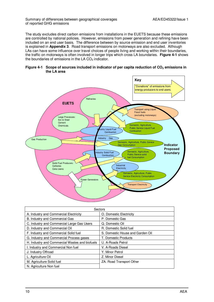Summary of differences between geographical coverages AEA/ED45322/Issue 1 of reported GHG emissions

The study excludes direct carbon emissions from installations in the EUETS because these emissions are controlled by national policies. However, emissions from power generation and refining have been included on an end user basis. The difference between by source emission and end user inventories is explained in **Appendix 3**. Road transport emissions on motorways are also excluded. Although LAs can have some influence over travel choices of people living and working within their boundaries, the traffic on motorways is often involved in longer trips which cross LA boundaries. **Figure 4-1** shows the boundaries of emissions in the LA  $CO<sub>2</sub>$  indicator.





|                                                | Sectors                          |  |  |  |  |  |
|------------------------------------------------|----------------------------------|--|--|--|--|--|
| A. Industry and Commercial Electricity         | O. Domestic Electricity          |  |  |  |  |  |
| B. Industry and Commercial Gas                 | P. Domestic Gas                  |  |  |  |  |  |
| C. Industry and Commercial Large Gas Users     | Q. Domestic Oil                  |  |  |  |  |  |
| D. Industry and Commercial Oil                 | R. Domestic Solid fuel           |  |  |  |  |  |
| F. Industry and Commercial Solid fuel          | S. Domestic House and Garden Oil |  |  |  |  |  |
| G. Industry and Commercial Process gases       | T. Domestic Products             |  |  |  |  |  |
| H. Industry and Commercial Wastes and biofuels | U. A-Roads Petrol                |  |  |  |  |  |
| I. Industry and Commercial Non fuel            | V. A-Roads Diesel                |  |  |  |  |  |
| J. Industry Offroad                            | Y. Minor Petrol                  |  |  |  |  |  |
| L. Agriculture Oil                             | Z. Minor Diesel                  |  |  |  |  |  |
| M. Agriculture Solid fuel                      | ZA. Road Transport Other         |  |  |  |  |  |
| N. Agriculture Non fuel                        |                                  |  |  |  |  |  |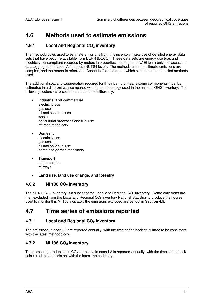### **4.6 Methods used to estimate emissions**

#### **4.6.1 Local and Regional CO2 inventory**

The methodologies used to estimate emissions from this inventory make use of detailed energy data sets that have become available from BERR (DECC). These data sets are energy use (gas and electricity consumption) recorded by meters in properties, although the NAEI team only has access to data aggregated to Local Authorities (NUTS4 level). The methods used to estimate emissions are complex, and the reader is referred to Appendix 2 of the report which summarise the detailed methods used.

The additional spatial disaggregation required for this inventory means some components must be estimated in a different way compared with the methodology used in the national GHG inventory. The following sectors / sub-sectors are estimated differently:

- **Industrial and commercial** electricity use gas use oil and solid fuel use waste agricultural processes and fuel use off road machinery
- **Domestic** electricity use gas use oil and solid fuel use home and garden machinery
- **Transport** road transport railways
- **Land use, land use change, and forestry**

#### **4.6.2 NI 186 CO2 inventory**

The NI 186 CO<sub>2</sub> inventory is a subset of the Local and Regional CO<sub>2</sub> inventory. Some emissions are then excluded from the Local and Regional  $CO<sub>2</sub>$  inventory National Statistics to produce the figures used to monitor this NI 186 indicator; the emissions excluded are set out in **Section 4.5**.

### **4.7 Time series of emissions reported**

#### **4.7.1 Local and Regional CO2 inventory**

The emissions in each LA are reported annually, with the time series back calculated to be consistent with the latest methodology.

#### **4.7.2 NI 186 CO2 inventory**

The percentage reduction in  $CO<sub>2</sub>$  per capita in each LA is reported annually, with the time series back calculated to be consistent with the latest methodology.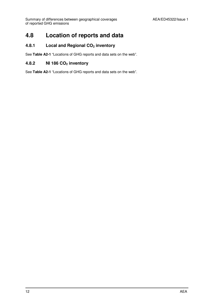### **4.8 Location of reports and data**

#### **4.8.1 Local and Regional CO2 inventory**

See **Table A2-1** "Locations of GHG reports and data sets on the web".

#### **4.8.2 NI 186 CO2 inventory**

See **Table A2-1** "Locations of GHG reports and data sets on the web".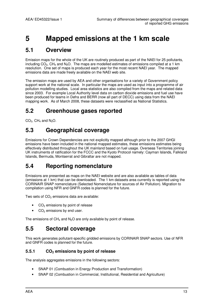## **5 Mapped emissions at the 1 km scale**

### **5.1 Overview**

Emission maps for the whole of the UK are routinely produced as part of the NAEI for 25 pollutants, including  $CO<sub>2</sub>$ , CH<sub>4</sub> and N<sub>2</sub>O. The maps are modelled estimates of emissions compiled at a 1 km resolution. One set of maps is produced each year for the most recent NAEI year. The mapped emissions data are made freely available on the NAEI web site.

The emission maps are used by AEA and other organisations for a variety of Government policy support work at the national scale. In particular the maps are used as input into a programme of air pollution modelling studies. Local area statistics are also compiled from the maps and related data since 2003. For example Local Authority level data on carbon dioxide emissions and fuel use have been produced for teams in Defra and BERR (now all part of DECC) using data from the NAEI mapping work. As of March 2008, these datasets were reclassified as National Statistics.

### **5.2 Greenhouse gases reported**

 $CO<sub>2</sub>$ , CH<sub>4</sub> and N<sub>2</sub>O.

### **5.3 Geographical coverage**

Emissions for Crown Dependencies are not explicitly mapped although prior to the 2007 GHGI emissions have been included in the national mapped estimates, these emissions estimates being effectively distributed throughout the UK mainland based on fuel usage. Overseas Territories joining UK instruments of ratification for the FCCC and the Kyoto Protocol namely: Cayman Islands, Falkland Islands, Bermuda, Montserrat and Gibraltar are not mapped.

### **5.4 Reporting nomenclature**

Emissions are presented as maps on the NAEI website and are also available as tables of data (emissions at 1 km) that can be downloaded. The 1 km datasets area currently is reported using the CORINAIR SNAP nomenclature (Selected Nomenclature for sources of Air Pollution). Migration to compilation using NFR and GNFR codes is planned for the future.

Two sets of  $CO<sub>2</sub>$  emissions data are available:

- $CO<sub>2</sub>$  emissions by point of release
- $\bullet$  CO<sub>2</sub> emissions by end user.

The emissions of  $CH_4$  and  $N_2O$  are only available by point of release.

### **5.5 Sectoral coverage**

This work generates pollutant-specific gridded emissions by CORINAIR SNAP sectors. Use of NFR and GNFR codes is planned for the future.

#### **5.5.1 CO2 emissions by point of release**

The analysis aggregates emissions in the following sectors:

- SNAP 01 (Combustion in Energy Production and Transformation)
- SNAP 02 (Combustion in Commercial, Institutional, Residential and Agriculture)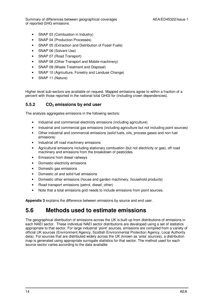Summary of differences between geographical coverages **AEA/ED45322/Issue 1** of reported GHG emissions

- SNAP 03 (Combustion in Industry)
- SNAP 04 (Production Processes)
- SNAP 05 (Extraction and Distribution of Fossil Fuels)
- SNAP 06 (Solvent Use)
- SNAP 07 (Road Transport)
- SNAP 08 (Other Transport and Mobile machinery)
- SNAP 09 (Waste Treatment and Disposal)
- SNAP 10 (Agriculture, Forestry and Landuse Change)
- SNAP 11 (Nature)

Higher level sub-sectors are available on request. Mapped emissions agree to within a fraction of a percent with those reported in the national total GHGI for (including crown dependencies).

#### **5.5.2 CO2 emissions by end user**

The analysis aggregates emissions in the following sectors:

- Industrial and commercial electricity emissions (including agriculture)
- Industrial and commercial gas emissions (including agriculture but not including point sources)
- Other industrial and commercial emissions (solid fuels, oils, process gases and non fuel emissions)
- Industrial off road machinery emissions
- Agricultural emissions including stationary combustion (but not electricity or gas), off road machinery and emissions from the breakdown of pesticides
- Emissions from diesel railways
- Domestic electricity emissions
- Domestic gas emissions
- Domestic oil and solid fuel emissions
- Domestic other emissions (house and garden machinery, household products)
- Road transport emissions (petrol, diesel, other)
- Note that a total emissions grid needs to include emissions from point sources.

**Appendix 3** explains the difference between emissions by source and end user.

### **5.6 Methods used to estimate emissions**

The geographical distribution of emissions across the UK is built up from distributions of emissions in each NAEI sector. These individual NAEI sector distributions are developed using a set of statistics appropriate to that sector. For large industrial 'point' sources, emissions are compiled from a variety of official UK sources (Environment Agency, Scottish Environmental Protection Agency, Local Authority data). For sources that are distributed widely across the UK (known as 'area' sources), a distribution map is generated using appropriate surrogate statistics for that sector. The method used for each source sector varies according to the data available.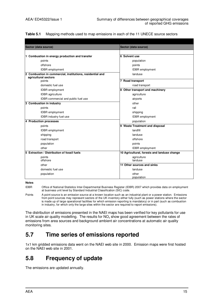|  | <b>Table 5.1</b> Mapping methods used to map emissions in each of the 11 UNECE source sectors |  |  |
|--|-----------------------------------------------------------------------------------------------|--|--|
|--|-----------------------------------------------------------------------------------------------|--|--|

| Sector (data source)                                                              | Sector (data source)                        |
|-----------------------------------------------------------------------------------|---------------------------------------------|
|                                                                                   |                                             |
| 1 Combustion in energy production and transfer                                    | 6 Solvent use                               |
| points                                                                            | population                                  |
| offshore                                                                          | points                                      |
| <b>IDBR</b> employment                                                            | <b>IDBR</b> employment                      |
| 2 Combustion in commercial, institutions, residential and<br>agricultural sectors | landuse                                     |
| points                                                                            | 7 Road transport                            |
| domestic fuel use                                                                 | road transport                              |
| <b>IDBR</b> employment                                                            | 8 Other transport and machinery             |
| <b>IDBR</b> agriculture                                                           | agriculture                                 |
| IDBR commercial and public fuel use                                               | airports                                    |
| 3 Combustion in industry                                                          | other                                       |
| points                                                                            | rail                                        |
| <b>IDBR</b> employment                                                            | shipping                                    |
| IDBR industry fuel use                                                            | IDBR employment                             |
| 4 Production processes                                                            | population                                  |
| points                                                                            | 9 Waste Treatment and disposal              |
| <b>IDBR</b> employment                                                            | landfill                                    |
| shipping                                                                          | landuse                                     |
| road transport                                                                    | offshore                                    |
| population                                                                        | points                                      |
| other                                                                             | <b>IDBR</b> employment                      |
| 5 Extraction / Distribution of fossil fuels                                       | 10 Agricultural, forests and landuse change |
| points<br>offshore                                                                | agriculture<br>landuse                      |
| other                                                                             | 11 Other sources and sinks                  |
| domestic fuel use                                                                 | landuse                                     |
| population                                                                        | other<br>population                         |

**Notes** 

IDBR Office of National Statistics Inter-Departmental Business Register (IDBR) 2007 which provides data on employment at business unit level by Standard Industrial Classification (SIC) code.

Points A point source is an emission source at a known location such as an industrial plant or a power station. Emissions from point sources may represent sectors of the UK inventory either fully (such as power stations where the sector is made up of large operational facilities for which emission reporting is mandatory) or in part (such as combustion in industry, for which only the large sites within the sector are required to report emissions).

The distribution of emissions presented in the NAEI maps has been verified for key pollutants for use in UK scale air quality modelling. The results for  $NO<sub>x</sub>$  show good agreement between the rates of emissions from area sources and background ambient air concentrations at automatic air quality monitoring sites.

### **5.7 Time series of emissions reported**

1x1 km gridded emissions data went on the NAEI web site in 2000. Emission maps were first hosted on the NAEI web site in 2001.

### **5.8 Frequency of update**

The emissions are updated annually.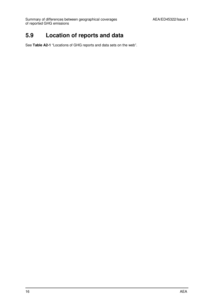Summary of differences between geographical coverages **AEA/ED45322/Issue 1** of reported GHG emissions

### **5.9 Location of reports and data**

See **Table A2-1** "Locations of GHG reports and data sets on the web".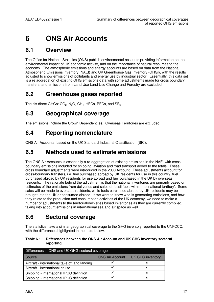## **6 ONS Air Accounts**

### **6.1 Overview**

The Office for National Statistics (ONS) publish environmental accounts providing information on the environmental impact of UK economic activity, and on the importance of natural resources to the economy. The atmospheric emissions and energy accounts are based on data from the National Atmospheric Emissions inventory (NAEI) and UK Greenhouse Gas Inventory (GHGI), with the results adjusted to show emissions of pollutants and energy use by industrial sector. Essentially, this data set is a re aggregation of existing GHG emissions data with some adjustments made for cross boundary transfers, and emissions from Land Use Land Use Change and Forestry are excluded.

### **6.2 Greenhouse gases reported**

The six direct GHGs:  $CO<sub>2</sub>$ , N<sub>2</sub>O, CH<sub>4</sub>, HFCs, PFCs, and SF<sub>6</sub>.

### **6.3 Geographical coverage**

The emissions include the Crown Dependencies. Overseas Territories are excluded.

### **6.4 Reporting nomenclature**

ONS Air Accounts, based on the UK Standard Industrial Classification (SIC).

### **6.5 Methods used to estimate emissions**

The ONS Air Accounts is essentially a re-aggregation of existing emissions in the NAEI with cross boundary emissions included for shipping, aviation and road transport added to the totals. These cross boundary adjustments were introduced in the 2000 Account. These adjustments account for cross-boundary transfers, i.e. fuel purchased abroad by UK residents for use in this country, fuel purchased abroad by UK residents for use abroad and fuel purchased in the UK by overseas residents. The rationale behind the adjustment is that the national inventories are primarily based on estimates of the emissions from deliveries and sales of fossil fuels within the 'national territory'. Some sales will be made to overseas residents, while fuels purchased abroad by UK residents may be brought into the UK or consumed abroad. If we want to know who is generating emissions, and how they relate to the production and consumption activities of the UK economy, we need to make a number of adjustments to the territorial/deliveries based inventories as they are currently compiled, taking into account emissions in international sea and air space as well.

### **6.6 Sectoral coverage**

The statistics have a similar geographical coverage to the GHG inventory reported to the UNFCCC, with the differences highlighted in the table below.

#### **Table 6.1 Differences between the ONS Air Account and UK GHG inventory sectoral reporting**

| Differences in ONS and UK GHG sectoral coverage |                  |  |  |  |  |  |  |  |  |
|-------------------------------------------------|------------------|--|--|--|--|--|--|--|--|
| <b>ONS Air Account</b>                          | UK GHG inventory |  |  |  |  |  |  |  |  |
|                                                 | ×                |  |  |  |  |  |  |  |  |
|                                                 | ×                |  |  |  |  |  |  |  |  |
|                                                 | ×                |  |  |  |  |  |  |  |  |
|                                                 | ×                |  |  |  |  |  |  |  |  |
|                                                 |                  |  |  |  |  |  |  |  |  |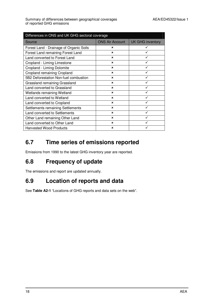| Differences in ONS and UK GHG sectoral coverage |                        |                         |  |  |  |  |  |  |  |
|-------------------------------------------------|------------------------|-------------------------|--|--|--|--|--|--|--|
| Source                                          | <b>ONS Air Account</b> | <b>UK GHG inventory</b> |  |  |  |  |  |  |  |
| Forest Land - Drainage of Organic Soils         | ×                      |                         |  |  |  |  |  |  |  |
| Forest Land remaining Forest Land               | $\mathbf x$            |                         |  |  |  |  |  |  |  |
| Land converted to Forest Land                   | $\mathbf x$            |                         |  |  |  |  |  |  |  |
| Cropland - Liming Limestone                     | $\mathbf x$            |                         |  |  |  |  |  |  |  |
| Cropland - Liming Dolomite                      | $\mathbf x$            |                         |  |  |  |  |  |  |  |
| Cropland remaining Cropland                     | $\mathbf x$            |                         |  |  |  |  |  |  |  |
| 5B2 Deforestation Non-fuel combustion           | $\mathbf x$            |                         |  |  |  |  |  |  |  |
| Grassland remaining Grassland                   | $\mathbf x$            |                         |  |  |  |  |  |  |  |
| Land converted to Grassland                     | $\mathbf x$            |                         |  |  |  |  |  |  |  |
| Wetlands remaining Wetland                      | $\mathbf x$            |                         |  |  |  |  |  |  |  |
| Land converted to Wetland                       | $\mathbf x$            |                         |  |  |  |  |  |  |  |
| Land converted to Cropland                      | $\mathbf x$            |                         |  |  |  |  |  |  |  |
| Settlements remaining Settlements               | ×                      |                         |  |  |  |  |  |  |  |
| Land converted to Settlements                   | $\mathbf x$            |                         |  |  |  |  |  |  |  |
| Other Land remaining Other Land                 | $\mathbf x$            |                         |  |  |  |  |  |  |  |
| Land converted to Other Land                    | $\mathbf x$            |                         |  |  |  |  |  |  |  |
| <b>Harvested Wood Products</b>                  | $\mathbf x$            |                         |  |  |  |  |  |  |  |

## **6.7 Time series of emissions reported**

Emissions from 1990 to the latest GHG inventory year are reported.

### **6.8 Frequency of update**

The emissions and report are updated annually.

### **6.9 Location of reports and data**

See **Table A2-1** "Locations of GHG reports and data sets on the web".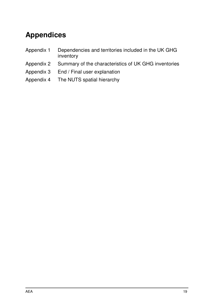## **Appendices**

- Appendix 1 Dependencies and territories included in the UK GHG inventory
- Appendix 2 Summary of the characteristics of UK GHG inventories
- Appendix 3 End / Final user explanation
- Appendix 4 The NUTS spatial hierarchy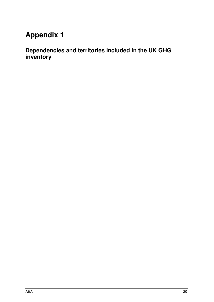## **Appendix 1**

**Dependencies and territories included in the UK GHG inventory**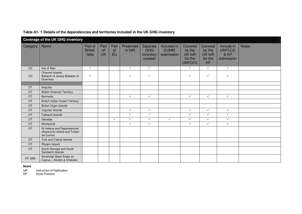|           | <b>Coverage of the UK GHG inventory</b>                                  |                                           |                         |                  |                     |                                                |                                          |                                                         |                                                     |                                                   |              |
|-----------|--------------------------------------------------------------------------|-------------------------------------------|-------------------------|------------------|---------------------|------------------------------------------------|------------------------------------------|---------------------------------------------------------|-----------------------------------------------------|---------------------------------------------------|--------------|
| Category  | Name                                                                     | Part of<br><b>British</b><br><b>Isles</b> | Part<br>of<br><b>UK</b> | Part<br>of<br>EU | Presented<br>in NIR | Separate<br><b>GHG</b><br>inventory<br>created | Included in<br><b>EUMM</b><br>submission | Covered<br>by the<br>UK IoR<br>for the<br><b>UNFCCC</b> | Covered<br>by the<br>UK IoR<br>for the<br><b>KP</b> | Include in<br><b>UNFCCC</b><br>& KP<br>submission | <b>Notes</b> |
| <b>CD</b> | Isle of Man                                                              | $\checkmark$                              |                         |                  | $\checkmark$        | $\checkmark$                                   |                                          | $\checkmark$                                            | $\checkmark$                                        | $\checkmark$                                      |              |
| <b>CD</b> | Channel Islands<br>Baliwick of Jersey Baliwick of<br>Guernsey            | $\checkmark$                              |                         |                  | $\checkmark$        | $\checkmark$                                   |                                          | $\checkmark$                                            | $\checkmark$                                        | $\checkmark$                                      |              |
|           |                                                                          |                                           |                         |                  |                     |                                                |                                          |                                                         |                                                     |                                                   |              |
| <b>OT</b> | Anguilla                                                                 |                                           |                         |                  |                     |                                                |                                          |                                                         |                                                     |                                                   |              |
| OT        | <b>British Antarctic Territory</b>                                       |                                           |                         |                  |                     |                                                |                                          |                                                         |                                                     |                                                   |              |
| OT        | Bermuda                                                                  |                                           |                         |                  | $\checkmark$        | $\checkmark$                                   |                                          | $\checkmark$                                            | $\checkmark$                                        | $\checkmark$                                      |              |
| OT        | <b>British Indian Ocean Territory</b>                                    |                                           |                         |                  |                     |                                                |                                          |                                                         |                                                     |                                                   |              |
| OT        | <b>British Virgin Islands</b>                                            |                                           |                         |                  |                     |                                                |                                          |                                                         |                                                     |                                                   |              |
| OT        | Cayman Islands                                                           |                                           |                         |                  | $\checkmark$        | $\checkmark$                                   |                                          | $\checkmark$                                            | $\checkmark$                                        | $\checkmark$                                      |              |
| OT        | <b>Falkland Islands</b>                                                  |                                           |                         |                  | $\checkmark$        | $\checkmark$                                   |                                          | $\checkmark$                                            | $\checkmark$                                        | $\checkmark$                                      |              |
| <b>OT</b> | Gibraltar                                                                |                                           |                         | $\checkmark$     | $\checkmark$        | $\checkmark$                                   | $\checkmark$                             | $\checkmark$                                            | $\checkmark$                                        | $\checkmark$                                      |              |
| <b>OT</b> | Montserrat                                                               |                                           |                         |                  | $\checkmark$        | $\checkmark$                                   |                                          | $\checkmark$                                            | $\checkmark$                                        | $\checkmark$                                      |              |
| OT        | St Helena and Dependencies<br>(Ascension Island and Tristan<br>da Cunha) |                                           |                         |                  |                     |                                                |                                          |                                                         |                                                     |                                                   |              |
| <b>OT</b> | Turk and Caicos Islands                                                  |                                           |                         |                  |                     |                                                |                                          |                                                         |                                                     |                                                   |              |
| OT        | Pitcairn Island                                                          |                                           |                         |                  |                     |                                                |                                          |                                                         |                                                     |                                                   |              |
| OT        | South Georgia and South<br>Sandwich Islands                              |                                           |                         |                  |                     |                                                |                                          |                                                         |                                                     |                                                   |              |
| OT (SB)   | Sovereign Base Areas on<br>Cyprus - Akrotiri & Dhekelia                  |                                           |                         |                  |                     |                                                |                                          |                                                         |                                                     |                                                   |              |

#### **Table A1- 1 Details of the dependencies and territories included in the UK GHG inventory**

#### **Notes**

IoR Instrument of Ratification

KP Kyoto Protocol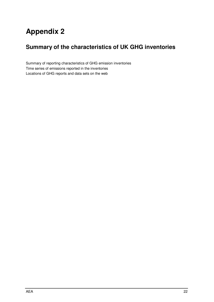## **Appendix 2**

## **Summary of the characteristics of UK GHG inventories**

Summary of reporting characteristics of GHG emission inventories Time series of emissions reported in the inventories Locations of GHG reports and data sets on the web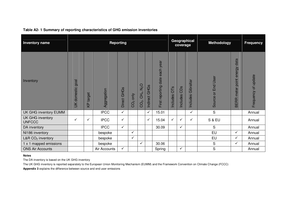| <b>Inventory name</b>             |                            |                  |              | <b>Reporting</b> |              |                                                   |                  |                                |                 | coverage        | Geographical          | <b>Methodology</b>      | <b>Frequency</b>                                |                     |
|-----------------------------------|----------------------------|------------------|--------------|------------------|--------------|---------------------------------------------------|------------------|--------------------------------|-----------------|-----------------|-----------------------|-------------------------|-------------------------------------------------|---------------------|
| Inventory                         | goal<br><b>UK</b> domestic | <b>KP</b> target | Aggregation  | Direct GHGs      | $CO2$ only   | $N_2$ O<br>CH <sub>4</sub> ,<br>CO <sub>2</sub> , | GHGs<br>Indirect | First reporting date each year | OTS<br>Includes | CDs<br>Includes | Gibraltar<br>Includes | End User<br>ð<br>Source | data<br>energy<br>point<br>meter<br><b>BERR</b> | Frequency of update |
| UK GHG inventory EUMM             |                            |                  | <b>IPCC</b>  | $\checkmark$     |              |                                                   | $\checkmark$     | 15.01                          |                 |                 | ✓                     | $\mathbf S$             |                                                 | Annual              |
| UK GHG inventory<br><b>UNFCCC</b> | $\checkmark$               | ✓                | <b>IPCC</b>  | $\checkmark$     |              |                                                   | $\checkmark$     | 15.04                          | $\checkmark$    | ✓               | $\checkmark$          | S & EU                  |                                                 | Annual              |
| DA inventory                      |                            |                  | <b>IPCC</b>  | $\checkmark$     |              |                                                   |                  | 30.09                          |                 | $\checkmark$    |                       | S                       |                                                 | Annual              |
| NI186 inventory                   |                            |                  | bespoke      |                  | $\checkmark$ |                                                   |                  |                                |                 |                 |                       | EU                      | $\checkmark$                                    | Annual              |
| L&R CO <sub>2</sub> inventory     |                            |                  | bespoke      |                  | $\checkmark$ |                                                   |                  |                                |                 |                 |                       | EU                      | ✓                                               | Annual              |
| 1 x 1 mapped emissions            |                            |                  | bespoke      |                  |              | $\checkmark$                                      |                  | 30.06                          |                 |                 |                       | $\mathbf S$             | ✓                                               | Annual              |
| <b>ONS Air Accounts</b>           |                            |                  | Air Accounts | $\checkmark$     |              |                                                   |                  | Spring                         |                 | $\checkmark$    |                       | S                       |                                                 | Annual              |

#### **Table A2- 1 Summary of reporting characteristics of GHG emission inventories**

#### **Notes**

The DA inventory is based on the UK GHG inventory

The UK GHG inventory is reported separately to the European Union Monitoring Mechanism (EUMM) and the Framework Convention on Climate Change (FCCC)

**Appendix 3** explains the difference between source and end user emissions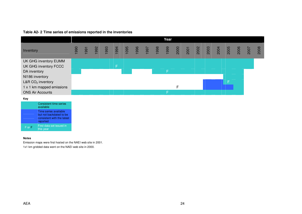#### **Table A2- 2 Time series of emissions reported in the inventories**

|                           |     |      |     |      |    |  |  | Year |   |  |  |      |      |      |      |
|---------------------------|-----|------|-----|------|----|--|--|------|---|--|--|------|------|------|------|
| Inventory                 | 990 | 1991 | 992 | 1993 |    |  |  |      |   |  |  | 2005 | 2006 | 2007 | 2008 |
| UK GHG inventory EUMM     |     |      |     |      |    |  |  |      |   |  |  |      |      |      |      |
| UK GHG inventory FCCC     |     |      |     |      | F. |  |  |      |   |  |  |      |      |      |      |
| DA inventory              |     |      |     |      |    |  |  | F    |   |  |  |      |      |      |      |
| NI186 inventory           |     |      |     |      |    |  |  |      |   |  |  |      |      |      |      |
| L&R $CO2$ inventory       |     |      |     |      |    |  |  |      |   |  |  |      |      |      |      |
| 1 x 1 km mapped emissions |     |      |     |      |    |  |  |      | F |  |  |      |      |      |      |
| <b>ONS Air Accounts</b>   |     |      |     |      |    |  |  |      |   |  |  |      |      |      |      |

**Key** 



#### **Notes**

Emission maps were first hosted on the NAEI web site in 2001. 1x1 km gridded data went on the NAEI web site in 2000.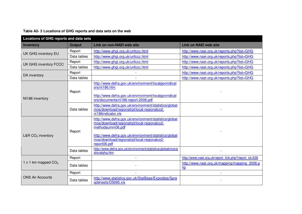| Locations of GHG reports and data sets |               |                                                                                                                                                                                                                                                  |                                                      |
|----------------------------------------|---------------|--------------------------------------------------------------------------------------------------------------------------------------------------------------------------------------------------------------------------------------------------|------------------------------------------------------|
| <b>Inventory</b>                       | <b>Output</b> | <b>Link on non-NAEI web site</b>                                                                                                                                                                                                                 | <b>Link on NAEI web site</b>                         |
|                                        | Report        | http://www.ghgi.org.uk/unfccc.html                                                                                                                                                                                                               | http://www.naei.org.uk/reports.php?list=GHG          |
| UK GHG inventory EU                    | Data tables   | http://www.ghgi.org.uk/unfccc.html                                                                                                                                                                                                               | http://www.naei.org.uk/reports.php?list=GHG          |
| UK GHG inventory FCCC                  | Report        | http://www.ghgi.org.uk/unfccc.html                                                                                                                                                                                                               | http://www.naei.org.uk/reports.php?list=GHG          |
|                                        | Data tables   | http://www.ghgi.org.uk/unfccc.html                                                                                                                                                                                                               | http://www.naei.org.uk/reports.php?list=GHG          |
| DA inventory                           | Report        |                                                                                                                                                                                                                                                  | http://www.naei.org.uk/reports.php?list=GHG          |
|                                        | Data tables   |                                                                                                                                                                                                                                                  | http://www.naei.org.uk/reports.php?list=GHG          |
| NI186 inventory                        | Report        | http://www.defra.gov.uk/environment/localgovindicat<br>ors/ni186.htm<br>http://www.defra.gov.uk/environment/localgovindicat<br>ors/documents/ni186-report-2008.pdf                                                                               |                                                      |
|                                        | Data tables   | http://www.defra.gov.uk/environment/statistics/globat<br>mos/download/regionalrpt/local-regionalco2-<br>ni186indicator.xls                                                                                                                       |                                                      |
| L&R $CO2$ inventory                    | Report        | http://www.defra.gov.uk/environment/statistics/globat<br>mos/download/regionalrpt/local-regionalco2-<br>methodsumm06.pdf<br>http://www.defra.gov.uk/environment/statistics/globat<br>mos/download/regionalrpt/local-regionalco2-<br>report06.pdf |                                                      |
|                                        | Data tables   | http://www.defra.gov.uk/environment/statistics/globatmos/g<br>alocalghg.htm                                                                                                                                                                      |                                                      |
|                                        | Report        |                                                                                                                                                                                                                                                  | http://www.naei.org.uk/report link.php?report id=536 |
| 1 x 1 km mapped $CO2$                  | Data tables   |                                                                                                                                                                                                                                                  | http://www.naei.org.uk/mapping/mapping 2006.p<br>hp  |
|                                        | Report        |                                                                                                                                                                                                                                                  |                                                      |
| <b>ONS Air Accounts</b>                | Data tables   | http://www.statistics.gov.uk/StatBase/Expodata/Spre<br>adsheets/D5695.xls                                                                                                                                                                        |                                                      |

**Table A2- 3 Locations of GHG reports and data sets on the web**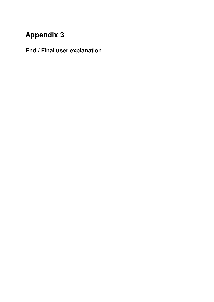## **Appendix 3**

**End / Final user explanation**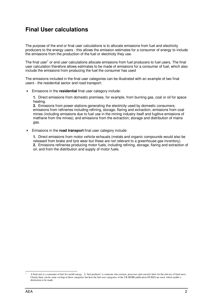### **Final User calculations**

The purpose of the end or final user calculations is to allocate emissions from fuel and electricity producers to the energy users - this allows the emission estimates for a consumer of energy to include the emissions from the production of the fuel or electricity they use.

The final user<sup>1</sup> or end user calculations allocate emissions from fuel producers to fuel users. The final user calculation therefore allows estimates to be made of emissions for a consumer of fuel, which also include the emissions from producing the fuel the consumer has used

The emissions included in the final user categories can be illustrated with an example of two final users - the residential sector and road transport:

Emissions in the **residential** final user category include:

**1.** Direct emissions from domestic premises, for example, from burning gas, coal or oil for space heating.

**2.** Emissions from power stations generating the electricity used by domestic consumers; emissions from refineries including refining, storage, flaring and extraction; emissions from coal mines (including emissions due to fuel use in the mining industry itself and fugitive emissions of methane from the mines); and emissions from the extraction, storage and distribution of mains gas.

Emissions in the **road transport** final user category include:

**1.** Direct emissions from motor vehicle exhausts (metals and organic compounds would also be released from brake and tyre wear but these are not relevant to a greenhouse gas inventory). **2.** Emissions refineries producing motor fuels, including refining, storage, flaring and extraction of oil; and from the distribution and supply of motor fuels.

<sup>-</sup>1 A final user is a consumer of fuel for useful energy. A 'fuel producer' is someone who extracts, processes and converts fuels for the end use of final users. Clearly there can be some overlap of these categories but here the fuel uses categories of the UK BERR publication DUKES are used, which enable a distinction to be made.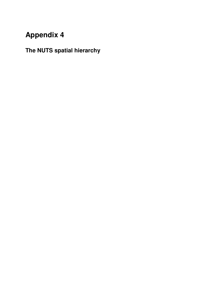## **Appendix 4**

## **The NUTS spatial hierarchy**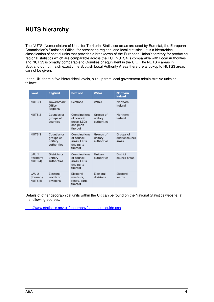### **NUTS hierarchy**

The NUTS (Nomenclature of Units for Territorial Statistics) areas are used by Eurostat, the European Commission's Statistical Office, for presenting regional and local statistics. It is a hierarchical classification of spatial units that provides a breakdown of the European Union's territory for producing regional statistics which are comparable across the EU. NUTS4 is comparable with Local Authorities and NUTS3 is broadly comparable to Counties or equivalent in the UK. The NUTS 4 areas in Scotland do not match exactly the Scottish Local Authority Areas therefore a lookup to NUTS3 areas cannot be given.

In the UK, there a five hierarchical levels, built up from local government administrative units as follows:

| Level                                                | <b>England</b>                                     | <b>Scotland</b>                                                   | <b>Wales</b>                        | <b>Northern</b><br><b>Ireland</b>      |
|------------------------------------------------------|----------------------------------------------------|-------------------------------------------------------------------|-------------------------------------|----------------------------------------|
| NUTS <sub>1</sub>                                    | Government<br>Office<br>Regions                    | Scotland                                                          | Wales                               | Northern<br>Ireland                    |
| NUTS <sub>2</sub>                                    | Counties or<br>groups of<br>counties               | Combinations<br>of council<br>areas, LECs<br>and parts<br>thereof | Groups of<br>unitary<br>authorities | Northern<br>Ireland                    |
| NUTS <sub>3</sub>                                    | Counties or<br>groups of<br>unitary<br>authorities | Combinations<br>of council<br>areas, LECs<br>and parts<br>thereof | Groups of<br>unitary<br>authorities | Groups of<br>district council<br>areas |
| LAU <sub>1</sub><br>(formerly<br>NUTS <sub>4</sub> ) | Districts or<br>unitary<br>authorities             | Combinations<br>of council<br>areas, LECs<br>and parts<br>thereof | Unitary<br>authorities              | District<br>council areas              |
| LAU <sub>2</sub><br>(formerly<br>NUTS <sub>5</sub> ) | Electoral<br>wards or<br>divisions                 | Electoral<br>wards or,<br>rarely, parts<br>thereof                | Electoral<br>divisions              | Electoral<br>wards                     |

Details of other geographical units within the UK can be found on the National Statistics website, at the following address:

http://www.statistics.gov.uk/geography/beginners\_guide.asp